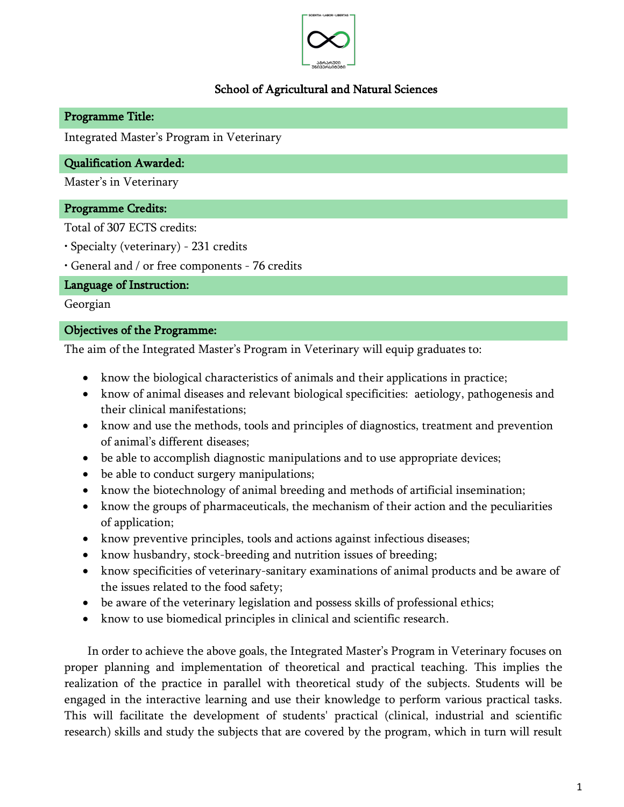

### School of Agricultural and Natural Sciences

#### Programme Title:

Integrated Master's Program in Veterinary

#### Qualification Awarded:

Master's in Veterinary

#### Programme Credits:

Total of 307 ECTS credits:

- Specialty (veterinary) 231 credits
- General and / or free components 76 credits

#### Language of Instruction:

Georgian

#### Objectives of the Programme:

The aim of the Integrated Master's Program in Veterinary will equip graduates to:

- know the biological characteristics of animals and their applications in practice;
- know of animal diseases and relevant biological specificities: aetiology, pathogenesis and their clinical manifestations;
- know and use the methods, tools and principles of diagnostics, treatment and prevention of animal's different diseases;
- be able to accomplish diagnostic manipulations and to use appropriate devices;
- be able to conduct surgery manipulations;
- know the biotechnology of animal breeding and methods of artificial insemination;
- know the groups of pharmaceuticals, the mechanism of their action and the peculiarities of application;
- know preventive principles, tools and actions against infectious diseases;
- know husbandry, stock-breeding and nutrition issues of breeding;
- know specificities of veterinary-sanitary examinations of animal products and be aware of the issues related to the food safety;
- be aware of the veterinary legislation and possess skills of professional ethics;
- know to use biomedical principles in clinical and scientific research.

In order to achieve the above goals, the Integrated Master's Program in Veterinary focuses on proper planning and implementation of theoretical and practical teaching. This implies the realization of the practice in parallel with theoretical study of the subjects. Students will be engaged in the interactive learning and use their knowledge to perform various practical tasks. This will facilitate the development of students' practical (clinical, industrial and scientific research) skills and study the subjects that are covered by the program, which in turn will result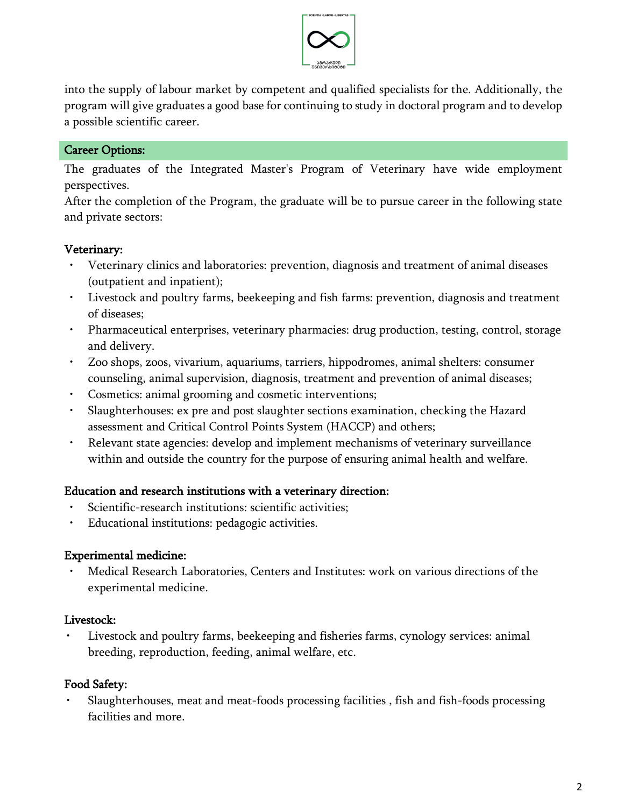

into the supply of labour market by competent and qualified specialists for the. Additionally, the program will give graduates a good base for continuing to study in doctoral program and to develop a possible scientific career.

### Career Options:

The graduates of the Integrated Master's Program of Veterinary have wide employment perspectives.

After the completion of the Program, the graduate will be to pursue career in the following state and private sectors:

### Veterinary:

- Veterinary clinics and laboratories: prevention, diagnosis and treatment of animal diseases (outpatient and inpatient);
- Livestock and poultry farms, beekeeping and fish farms: prevention, diagnosis and treatment of diseases;
- Pharmaceutical enterprises, veterinary pharmacies: drug production, testing, control, storage and delivery.
- Zoo shops, zoos, vivarium, aquariums, tarriers, hippodromes, animal shelters: consumer counseling, animal supervision, diagnosis, treatment and prevention of animal diseases;
- Cosmetics: animal grooming and cosmetic interventions;
- Slaughterhouses: ex pre and post slaughter sections examination, checking the Hazard assessment and Critical Control Points System (HACCP) and others;
- Relevant state agencies: develop and implement mechanisms of veterinary surveillance within and outside the country for the purpose of ensuring animal health and welfare.

### Education and research institutions with a veterinary direction:

- Scientific-research institutions: scientific activities;
- Educational institutions: pedagogic activities.

# Experimental medicine:

• Medical Research Laboratories, Centers and Institutes: work on various directions of the experimental medicine.

### Livestock:

• Livestock and poultry farms, beekeeping and fisheries farms, cynology services: animal breeding, reproduction, feeding, animal welfare, etc.

# Food Safety:

• Slaughterhouses, meat and meat-foods processing facilities , fish and fish-foods processing facilities and more.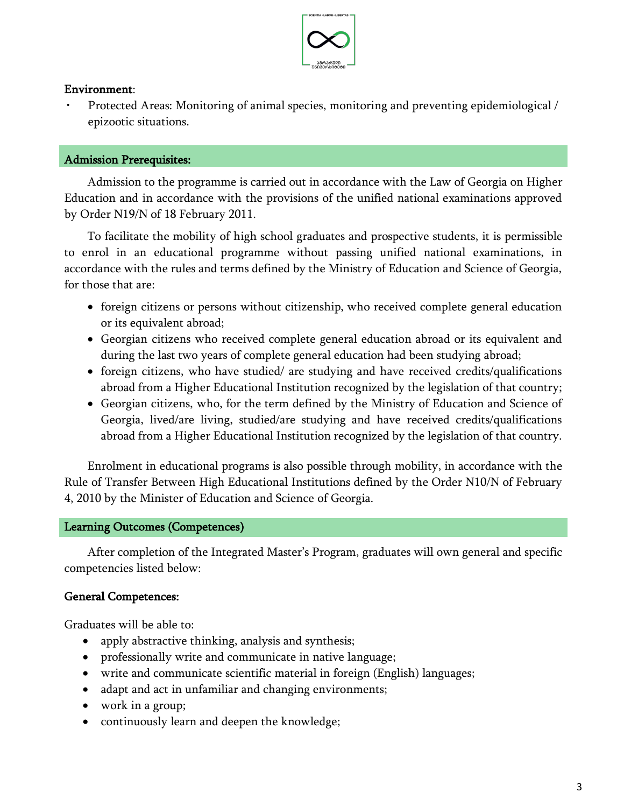

#### Environment:

• Protected Areas: Monitoring of animal species, monitoring and preventing epidemiological / epizootic situations.

#### Admission Prerequisites:

Admission to the programme is carried out in accordance with the Law of Georgia on Higher Education and in accordance with the provisions of the unified national examinations approved by Order N19/N of 18 February 2011.

To facilitate the mobility of high school graduates and prospective students, it is permissible to enrol in an educational programme without passing unified national examinations, in accordance with the rules and terms defined by the Ministry of Education and Science of Georgia, for those that are:

- foreign citizens or persons without citizenship, who received complete general education or its equivalent abroad;
- Georgian citizens who received complete general education abroad or its equivalent and during the last two years of complete general education had been studying abroad;
- foreign citizens, who have studied/ are studying and have received credits/qualifications abroad from a Higher Educational Institution recognized by the legislation of that country;
- Georgian citizens, who, for the term defined by the Ministry of Education and Science of Georgia, lived/are living, studied/are studying and have received credits/qualifications abroad from a Higher Educational Institution recognized by the legislation of that country.

Enrolment in educational programs is also possible through mobility, in accordance with the Rule of Transfer Between High Educational Institutions defined by the Order N10/N of February 4, 2010 by the Minister of Education and Science of Georgia.

#### Learning Outcomes (Competences)

After completion of the Integrated Master's Program, graduates will own general and specific competencies listed below:

### General Competences:

Graduates will be able to:

- apply abstractive thinking, analysis and synthesis;
- professionally write and communicate in native language;
- write and communicate scientific material in foreign (English) languages;
- adapt and act in unfamiliar and changing environments;
- work in a group;
- continuously learn and deepen the knowledge;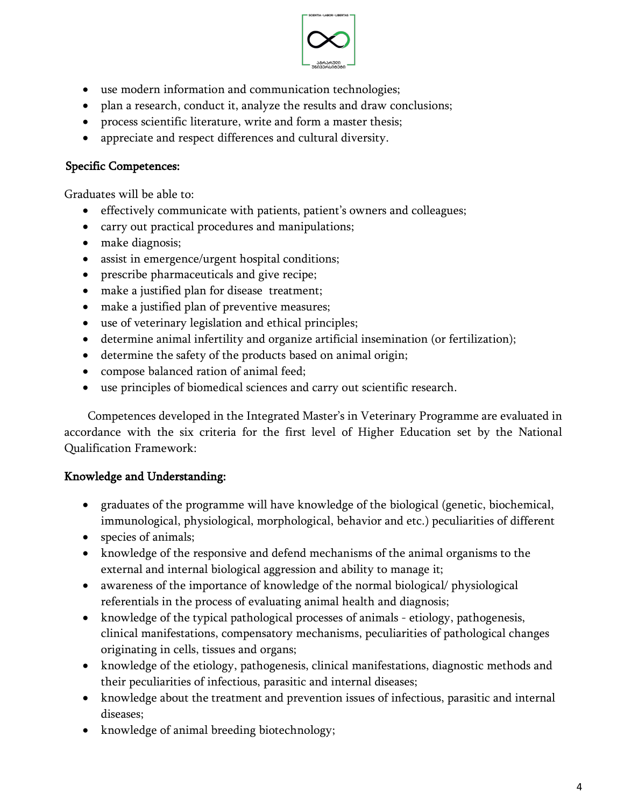

- use modern information and communication technologies;
- plan a research, conduct it, analyze the results and draw conclusions;
- process scientific literature, write and form a master thesis;
- appreciate and respect differences and cultural diversity.

### Specific Competences:

Graduates will be able to:

- effectively communicate with patients, patient's owners and colleagues;
- carry out practical procedures and manipulations;
- make diagnosis;
- assist in emergence/urgent hospital conditions;
- prescribe pharmaceuticals and give recipe;
- make a justified plan for disease treatment;
- make a justified plan of preventive measures;
- use of veterinary legislation and ethical principles;
- determine animal infertility and organize artificial insemination (or fertilization);
- determine the safety of the products based on animal origin;
- compose balanced ration of animal feed;
- use principles of biomedical sciences and carry out scientific research.

Competences developed in the Integrated Master's in Veterinary Programme are evaluated in accordance with the six criteria for the first level of Higher Education set by the National Qualification Framework:

# Knowledge and Understanding:

- graduates of the programme will have knowledge of the biological (genetic, biochemical, immunological, physiological, morphological, behavior and etc.) peculiarities of different
- species of animals;
- knowledge of the responsive and defend mechanisms of the animal organisms to the external and internal biological aggression and ability to manage it;
- awareness of the importance of knowledge of the normal biological/ physiological referentials in the process of evaluating animal health and diagnosis;
- knowledge of the typical pathological processes of animals etiology, pathogenesis, clinical manifestations, compensatory mechanisms, peculiarities of pathological changes originating in cells, tissues and organs;
- knowledge of the etiology, pathogenesis, clinical manifestations, diagnostic methods and their peculiarities of infectious, parasitic and internal diseases;
- knowledge about the treatment and prevention issues of infectious, parasitic and internal diseases;
- knowledge of animal breeding biotechnology;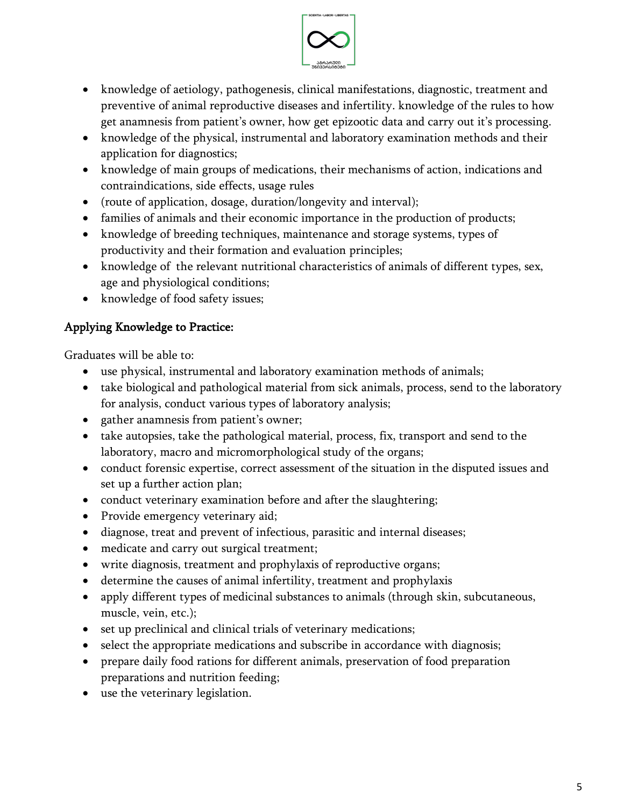

- knowledge of aetiology, pathogenesis, clinical manifestations, diagnostic, treatment and preventive of animal reproductive diseases and infertility. knowledge of the rules to how get anamnesis from patient's owner, how get epizootic data and carry out it's processing.
- knowledge of the physical, instrumental and laboratory examination methods and their application for diagnostics;
- knowledge of main groups of medications, their mechanisms of action, indications and contraindications, side effects, usage rules
- (route of application, dosage, duration/longevity and interval);
- families of animals and their economic importance in the production of products;
- knowledge of breeding techniques, maintenance and storage systems, types of productivity and their formation and evaluation principles;
- knowledge of the relevant nutritional characteristics of animals of different types, sex, age and physiological conditions;
- knowledge of food safety issues;

# Applying Knowledge to Practice:

Graduates will be able to:

- use physical, instrumental and laboratory examination methods of animals;
- take biological and pathological material from sick animals, process, send to the laboratory for analysis, conduct various types of laboratory analysis;
- gather anamnesis from patient's owner;
- take autopsies, take the pathological material, process, fix, transport and send to the laboratory, macro and micromorphological study of the organs;
- conduct forensic expertise, correct assessment of the situation in the disputed issues and set up a further action plan;
- conduct veterinary examination before and after the slaughtering;
- Provide emergency veterinary aid;
- diagnose, treat and prevent of infectious, parasitic and internal diseases;
- medicate and carry out surgical treatment;
- write diagnosis, treatment and prophylaxis of reproductive organs;
- determine the causes of animal infertility, treatment and prophylaxis
- apply different types of medicinal substances to animals (through skin, subcutaneous, muscle, vein, etc.);
- set up preclinical and clinical trials of veterinary medications;
- select the appropriate medications and subscribe in accordance with diagnosis;
- prepare daily food rations for different animals, preservation of food preparation preparations and nutrition feeding;
- use the veterinary legislation.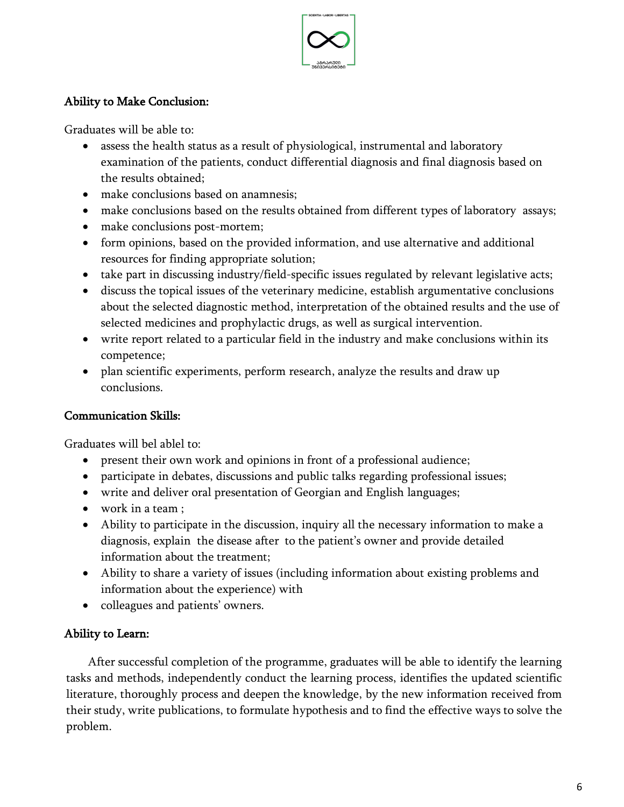

# Ability to Make Conclusion:

Graduates will be able to:

- assess the health status as a result of physiological, instrumental and laboratory examination of the patients, conduct differential diagnosis and final diagnosis based on the results obtained;
- make conclusions based on anamnesis;
- make conclusions based on the results obtained from different types of laboratory assays;
- make conclusions post-mortem;
- form opinions, based on the provided information, and use alternative and additional resources for finding appropriate solution;
- take part in discussing industry/field-specific issues regulated by relevant legislative acts;
- discuss the topical issues of the veterinary medicine, establish argumentative conclusions about the selected diagnostic method, interpretation of the obtained results and the use of selected medicines and prophylactic drugs, as well as surgical intervention.
- write report related to a particular field in the industry and make conclusions within its competence;
- plan scientific experiments, perform research, analyze the results and draw up conclusions.

# Communication Skills:

Graduates will bel ablel to:

- present their own work and opinions in front of a professional audience;
- participate in debates, discussions and public talks regarding professional issues;
- write and deliver oral presentation of Georgian and English languages;
- work in a team ;
- Ability to participate in the discussion, inquiry all the necessary information to make a diagnosis, explain the disease after to the patient's owner and provide detailed information about the treatment;
- Ability to share a variety of issues (including information about existing problems and information about the experience) with
- colleagues and patients' owners.

# Ability to Learn:

After successful completion of the programme, graduates will be able to identify the learning tasks and methods, independently conduct the learning process, identifies the updated scientific literature, thoroughly process and deepen the knowledge, by the new information received from their study, write publications, to formulate hypothesis and to find the effective ways to solve the problem.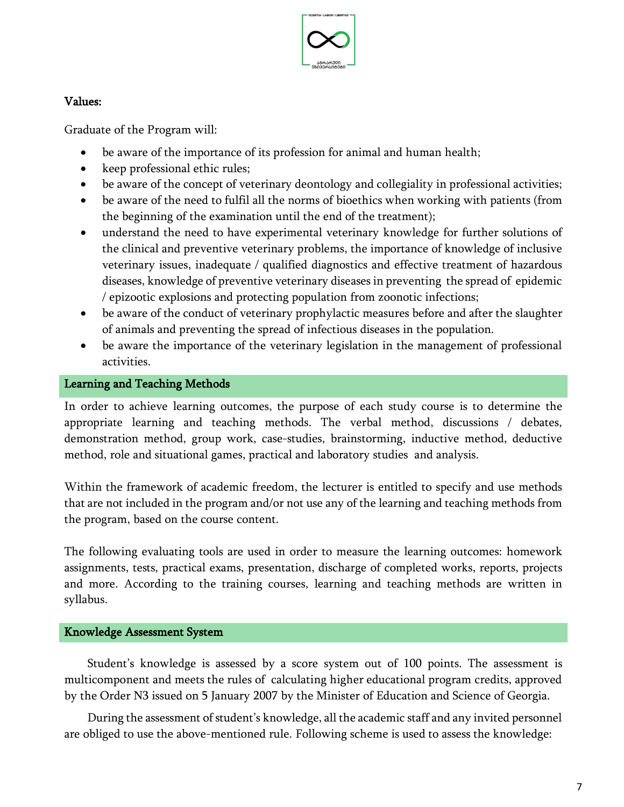

### Values:

Graduate of the Program will:

- be aware of the importance of its profession for animal and human health;
- keep professional ethic rules;
- be aware of the concept of veterinary deontology and collegiality in professional activities;
- be aware of the need to fulfil all the norms of bioethics when working with patients (from the beginning of the examination until the end of the treatment);
- understand the need to have experimental veterinary knowledge for further solutions of the clinical and preventive veterinary problems, the importance of knowledge of inclusive veterinary issues, inadequate / qualified diagnostics and effective treatment of hazardous diseases, knowledge of preventive veterinary diseases in preventing the spread of epidemic / epizootic explosions and protecting population from zoonotic infections;
- be aware of the conduct of veterinary prophylactic measures before and after the slaughter of animals and preventing the spread of infectious diseases in the population.
- be aware the importance of the veterinary legislation in the management of professional activities.

### Learning and Teaching Methods

In order to achieve learning outcomes, the purpose of each study course is to determine the appropriate learning and teaching methods. The verbal method, discussions / debates, demonstration method, group work, case-studies, brainstorming, inductive method, deductive method, role and situational games, practical and laboratory studies and analysis.

Within the framework of academic freedom, the lecturer is entitled to specify and use methods that are not included in the program and/or not use any of the learning and teaching methods from the program, based on the course content.

The following evaluating tools are used in order to measure the learning outcomes: homework assignments, tests, practical exams, presentation, discharge of completed works, reports, projects and more. According to the training courses, learning and teaching methods are written in syllabus.

### Knowledge Assessment System

Student's knowledge is assessed by a score system out of 100 points. The assessment is multicomponent and meets the rules of calculating higher educational program credits, approved by the Order N3 issued on 5 January 2007 by the Minister of Education and Science of Georgia.

During the assessment of student's knowledge, all the academic staff and any invited personnel are obliged to use the above-mentioned rule. Following scheme is used to assess the knowledge: